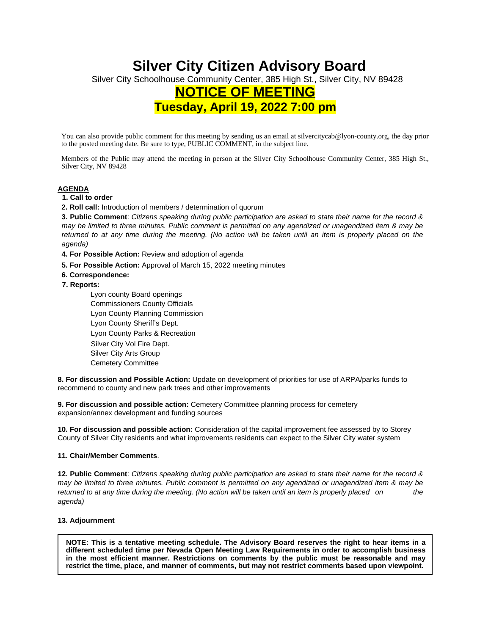# **Silver City Citizen Advisory Board**

Silver City Schoolhouse Community Center, 385 High St., Silver City, NV 89428

# **NOTICE OF MEETING**

**Tuesday, April 19, 2022 7:00 pm**

You can also provide public comment for this meeting by sending us an email at silvercitycab@lyon-county.org, the day prior to the posted meeting date. Be sure to type, PUBLIC COMMENT, in the subject line.

Members of the Public may attend the meeting in person at the Silver City Schoolhouse Community Center, 385 High St., Silver City, NV 89428

## **AGENDA**

# **1. Call to order**

**2. Roll call:** Introduction of members / determination of quorum

3. Public Comment: Citizens speaking during public participation are asked to state their name for the record & may be limited to three minutes. Public comment is permitted on any agendized or unagendized item & may be returned to at any time during the meeting. (No action will be taken until an item is properly placed on the *agenda)* 

**4. For Possible Action:** Review and adoption of agenda

- **5. For Possible Action:** Approval of March 15, 2022 meeting minutes
- **6. Correspondence:**
- **7. Reports:**

 Lyon county Board openings Commissioners County Officials Lyon County Planning Commission Lyon County Sheriff's Dept. Lyon County Parks & Recreation Silver City Vol Fire Dept. Silver City Arts Group Cemetery Committee

**8. For discussion and Possible Action:** Update on development of priorities for use of ARPA/parks funds to recommend to county and new park trees and other improvements

**9. For discussion and possible action:** Cemetery Committee planning process for cemetery expansion/annex development and funding sources

**10. For discussion and possible action:** Consideration of the capital improvement fee assessed by to Storey County of Silver City residents and what improvements residents can expect to the Silver City water system

## **11. Chair/Member Comments**.

12. Public Comment: Citizens speaking during public participation are asked to state their name for the record & may be limited to three minutes. Public comment is permitted on any agendized or unagendized item & may be *returned to at any time during the meeting. (No action will be taken until an item is properly placed on the agenda)* 

## **13. Adjournment**

NOTE: This is a tentative meeting schedule. The Advisory Board reserves the right to hear items in a **different scheduled time per Nevada Open Meeting Law Requirements in order to accomplish business in the most efficient manner. Restrictions on comments by the public must be reasonable and may restrict the time, place, and manner of comments, but may not restrict comments based upon viewpoint.**